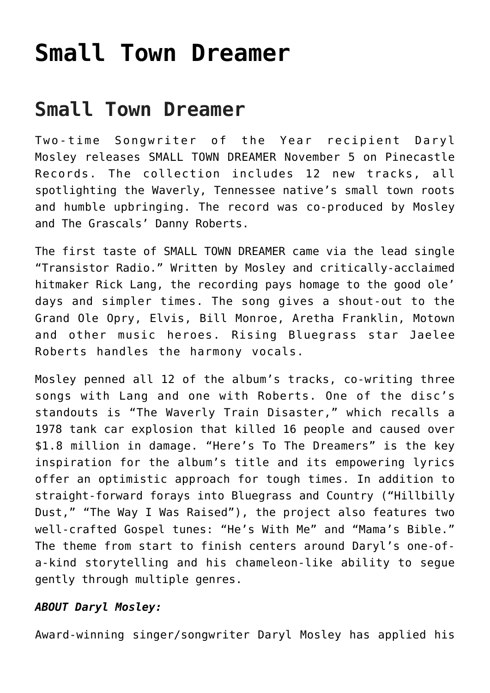## **[Small Town Dreamer](https://thebluegrassstandard.com/small-town-dreamer/)**

## **Small Town Dreamer**

Two-time Songwriter of the Year recipient Daryl Mosley releases SMALL TOWN DREAMER November 5 on Pinecastle Records. The collection includes 12 new tracks, all spotlighting the Waverly, Tennessee native's small town roots and humble upbringing. The record was co-produced by Mosley and The Grascals' Danny Roberts.

The first taste of SMALL TOWN DREAMER came via the lead single "Transistor Radio." Written by Mosley and critically-acclaimed hitmaker Rick Lang, the recording pays homage to the good ole' days and simpler times. The song gives a shout-out to the Grand Ole Opry, Elvis, Bill Monroe, Aretha Franklin, Motown and other music heroes. Rising Bluegrass star Jaelee Roberts handles the harmony vocals.

Mosley penned all 12 of the album's tracks, co-writing three songs with Lang and one with Roberts. One of the disc's standouts is "The Waverly Train Disaster," which recalls a 1978 tank car explosion that killed 16 people and caused over \$1.8 million in damage. "Here's To The Dreamers" is the key inspiration for the album's title and its empowering lyrics offer an optimistic approach for tough times. In addition to straight-forward forays into Bluegrass and Country ("Hillbilly Dust," "The Way I Was Raised"), the project also features two well-crafted Gospel tunes: "He's With Me" and "Mama's Bible." The theme from start to finish centers around Daryl's one-ofa-kind storytelling and his chameleon-like ability to segue gently through multiple genres.

## *ABOUT Daryl Mosley:*

Award-winning singer/songwriter Daryl Mosley has applied his